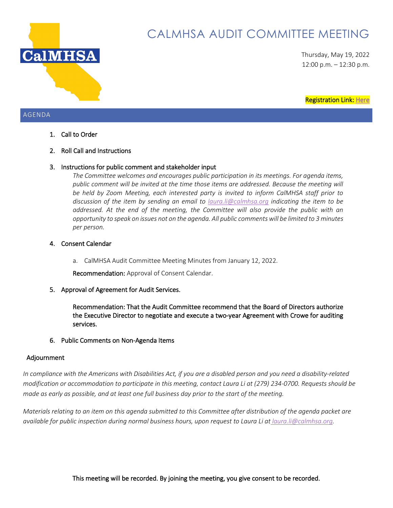

# CALMHSA AUDIT COMMITTEE MEETING

Thursday, May 19, 2022 12:00 p.m. – 12:30 p.m.

Registration Link[: Here](https://us02web.zoom.us/meeting/register/tZwtdemspzMjGtPPjFHn4adH7MGG7TraV1jv) 

#### AGENDA

- 1. Call to Order
- 2. Roll Call and Instructions

# 3. Instructions for public comment and stakeholder input

*The Committee welcomes and encourages public participation in its meetings. For agenda items,*  public comment will be invited at the time those items are addressed. Because the meeting will *be held by Zoom Meeting, each interested party is invited to inform CalMHSA staff prior to discussion of the item by sending an email to [laura.li@calmhsa.org](mailto:laura.li@calmhsa.org) indicating the item to be addressed. At the end of the meeting, the Committee will also provide the public with an opportunity to speak on issues not on the agenda. All public comments will be limited to 3 minutes per person.*

# 4. Consent Calendar

a. CalMHSA Audit Committee Meeting Minutes from January 12, 2022.

Recommendation: Approval of Consent Calendar.

# 5. Approval of Agreement for Audit Services.

Recommendation: That the Audit Committee recommend that the Board of Directors authorize the Executive Director to negotiate and execute a two-year Agreement with Crowe for auditing services.

6. Public Comments on Non-Agenda Items

# Adjournment

*In compliance with the Americans with Disabilities Act, if you are a disabled person and you need a disability-related modification or accommodation to participate in this meeting, contact Laura Li at (279) 234-0700. Requests should be made as early as possible, and at least one full business day prior to the start of the meeting.*

*Materials relating to an item on this agenda submitted to this Committee after distribution of the agenda packet are available for public inspection during normal business hours, upon request to Laura Li at laura.li@calmhsa.org.*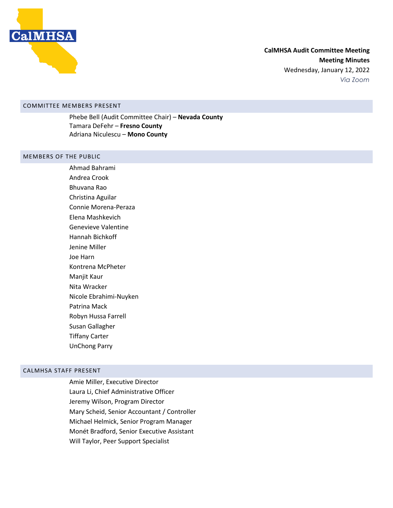

#### COMMITTEE MEMBERS PRESENT

Phebe Bell (Audit Committee Chair) – **Nevada County** Tamara DeFehr – **Fresno County** Adriana Niculescu – **Mono County**

#### MEMBERS OF THE PUBLIC

Ahmad Bahrami Andrea Crook Bhuvana Rao Christina Aguilar Connie Morena-Peraza Elena Mashkevich Genevieve Valentine Hannah Bichkoff Jenine Miller Joe Harn Kontrena McPheter Manjit Kaur Nita Wracker Nicole Ebrahimi-Nuyken Patrina Mack Robyn Hussa Farrell Susan Gallagher Tiffany Carter UnChong Parry

# CALMHSA STAFF PRESENT

Amie Miller, Executive Director Laura Li, Chief Administrative Officer Jeremy Wilson, Program Director Mary Scheid, Senior Accountant / Controller Michael Helmick, Senior Program Manager Monét Bradford, Senior Executive Assistant Will Taylor, Peer Support Specialist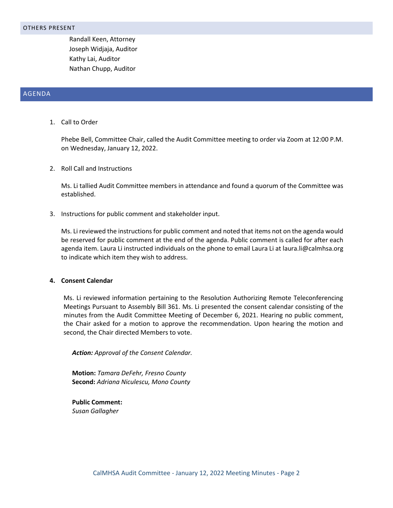Randall Keen, Attorney Joseph Widjaja, Auditor Kathy Lai, Auditor Nathan Chupp, Auditor

#### AGENDA

1. Call to Order

Phebe Bell, Committee Chair, called the Audit Committee meeting to order via Zoom at 12:00 P.M. on Wednesday, January 12, 2022.

2. Roll Call and Instructions

Ms. Li tallied Audit Committee members in attendance and found a quorum of the Committee was established.

3. Instructions for public comment and stakeholder input.

Ms. Li reviewed the instructions for public comment and noted that items not on the agenda would be reserved for public comment at the end of the agenda. Public comment is called for after each agenda item. Laura Li instructed individuals on the phone to email Laura Li a[t laura.li@calmhsa.org](mailto:laura.li@calmhsa.org) to indicate which item they wish to address.

#### **4. Consent Calendar**

Ms. Li reviewed information pertaining to the Resolution Authorizing Remote Teleconferencing Meetings Pursuant to Assembly Bill 361. Ms. Li presented the consent calendar consisting of the minutes from the Audit Committee Meeting of December 6, 2021. Hearing no public comment, the Chair asked for a motion to approve the recommendation. Upon hearing the motion and second, the Chair directed Members to vote.

*Action: Approval of the Consent Calendar.*

**Motion:** *Tamara DeFehr, Fresno County* **Second:** *Adriana Niculescu, Mono County*

**Public Comment:** *Susan Gallagher*